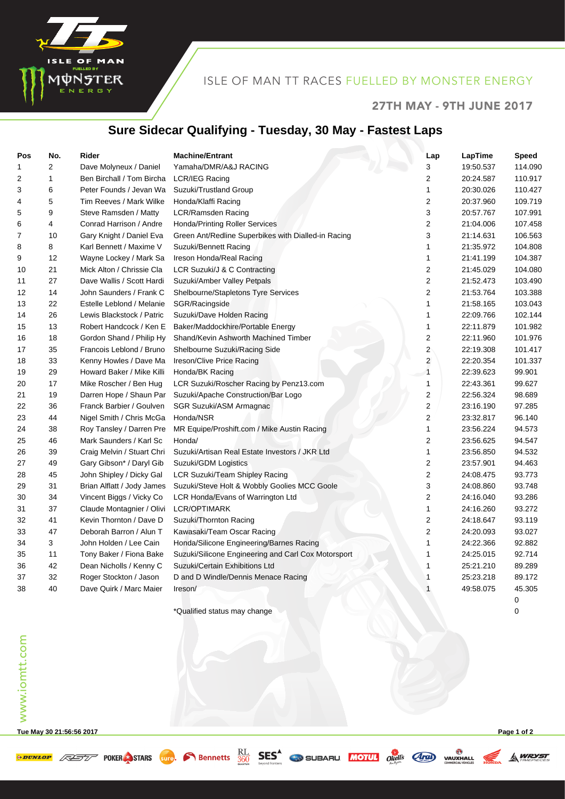

#### ISLE OF MAN TT RACES FUELLED BY MONSTER ENERGY

#### 27TH MAY - 9TH JUNE 2017

## **Sure Sidecar Qualifying - Tuesday, 30 May - Fastest Laps**

| Pos | No. | Rider                      | <b>Machine/Entrant</b>                              | Lap                     | LapTime   | <b>Speed</b> |
|-----|-----|----------------------------|-----------------------------------------------------|-------------------------|-----------|--------------|
| 1   | 2   | Dave Molyneux / Daniel     | Yamaha/DMR/A&J RACING                               | 3                       | 19:50.537 | 114.090      |
| 2   | 1   | Ben Birchall / Tom Bircha  | LCR/IEG Racing                                      | $\overline{2}$          | 20:24.587 | 110.917      |
| 3   | 6   | Peter Founds / Jevan Wa    | Suzuki/Trustland Group                              | 1                       | 20:30.026 | 110.427      |
| 4   | 5   | Tim Reeves / Mark Wilke    | Honda/Klaffi Racing                                 | $\overline{\mathbf{c}}$ | 20:37.960 | 109.719      |
| 5   | 9   | Steve Ramsden / Matty      | <b>LCR/Ramsden Racing</b>                           | 3                       | 20:57.767 | 107.991      |
| 6   | 4   | Conrad Harrison / Andre    | <b>Honda/Printing Roller Services</b>               | 2                       | 21:04.006 | 107.458      |
| 7   | 10  | Gary Knight / Daniel Eva   | Green Ant/Redline Superbikes with Dialled-in Racing | 3                       | 21:14.631 | 106.563      |
| 8   | 8   | Karl Bennett / Maxime V    | Suzuki/Bennett Racing                               | 1                       | 21:35.972 | 104.808      |
| 9   | 12  | Wayne Lockey / Mark Sa     | Ireson Honda/Real Racing                            | 1                       | 21:41.199 | 104.387      |
| 10  | 21  | Mick Alton / Chrissie Cla  | LCR Suzuki/J & C Contracting                        | 2                       | 21:45.029 | 104.080      |
| 11  | 27  | Dave Wallis / Scott Hardi  | Suzuki/Amber Valley Petpals                         | $\overline{2}$          | 21:52.473 | 103.490      |
| 12  | 14  | John Saunders / Frank C    | Shelbourne/Stapletons Tyre Services                 | $\overline{\mathbf{c}}$ | 21:53.764 | 103.388      |
| 13  | 22  | Estelle Leblond / Melanie  | SGR/Racingside                                      | $\mathbf{1}$            | 21:58.165 | 103.043      |
| 14  | 26  | Lewis Blackstock / Patric  | Suzuki/Dave Holden Racing                           | 1                       | 22:09.766 | 102.144      |
| 15  | 13  | Robert Handcock / Ken E    | Baker/Maddockhire/Portable Energy                   | 1                       | 22:11.879 | 101.982      |
| 16  | 18  | Gordon Shand / Philip Hy   | Shand/Kevin Ashworth Machined Timber                | $\boldsymbol{2}$        | 22:11.960 | 101.976      |
| 17  | 35  | Francois Leblond / Bruno   | Shelbourne Suzuki/Racing Side                       | $\overline{c}$          | 22:19.308 | 101.417      |
| 18  | 33  | Kenny Howles / Dave Ma     | Ireson/Clive Price Racing                           | $\overline{\mathbf{c}}$ | 22:20.354 | 101.337      |
| 19  | 29  | Howard Baker / Mike Killi  | Honda/BK Racing                                     | $\overline{1}$          | 22:39.623 | 99.901       |
| 20  | 17  | Mike Roscher / Ben Hug     | LCR Suzuki/Roscher Racing by Penz13.com             | $\mathbf{1}$            | 22:43.361 | 99.627       |
| 21  | 19  | Darren Hope / Shaun Par    | Suzuki/Apache Construction/Bar Logo                 | 2                       | 22:56.324 | 98.689       |
| 22  | 36  | Franck Barbier / Goulven   | SGR Suzuki/ASM Armagnac                             | $\overline{\mathbf{c}}$ | 23:16.190 | 97.285       |
| 23  | 44  | Nigel Smith / Chris McGa   | Honda/NSR                                           | $\overline{2}$          | 23:32.817 | 96.140       |
| 24  | 38  | Roy Tansley / Darren Pre   | MR Equipe/Proshift.com / Mike Austin Racing         | 1                       | 23:56.224 | 94.573       |
| 25  | 46  | Mark Saunders / Karl Sc    | Honda/                                              | 2                       | 23:56.625 | 94.547       |
| 26  | 39  | Craig Melvin / Stuart Chri | Suzuki/Artisan Real Estate Investors / JKR Ltd      | 1                       | 23:56.850 | 94.532       |
| 27  | 49  | Gary Gibson* / Daryl Gib   | Suzuki/GDM Logistics                                | $\overline{\mathbf{c}}$ | 23:57.901 | 94.463       |
| 28  | 45  | John Shipley / Dicky Gal   | <b>LCR Suzuki/Team Shipley Racing</b>               | $\overline{\mathbf{c}}$ | 24:08.475 | 93.773       |
| 29  | 31  | Brian Alflatt / Jody James | Suzuki/Steve Holt & Wobbly Goolies MCC Goole        | 3                       | 24:08.860 | 93.748       |
| 30  | 34  | Vincent Biggs / Vicky Co   | LCR Honda/Evans of Warrington Ltd                   | $\overline{c}$          | 24:16.040 | 93.286       |
| 31  | 37  | Claude Montagnier / Olivi  | <b>LCR/OPTIMARK</b>                                 | 1                       | 24:16.260 | 93.272       |
| 32  | 41  | Kevin Thornton / Dave D    | Suzuki/Thornton Racing                              | 2                       | 24:18.647 | 93.119       |
| 33  | 47  | Deborah Barron / Alun T    | Kawasaki/Team Oscar Racing                          | $\overline{2}$          | 24:20.093 | 93.027       |
| 34  | 3   | John Holden / Lee Cain     | Honda/Silicone Engineering/Barnes Racing            | $\mathbf{1}$            | 24:22.366 | 92.882       |
| 35  | 11  | Tony Baker / Fiona Bake    | Suzuki/Silicone Engineering and Carl Cox Motorsport | 1                       | 24:25.015 | 92.714       |
| 36  | 42  | Dean Nicholls / Kenny C    | Suzuki/Certain Exhibitions Ltd                      | 1                       | 25:21.210 | 89.289       |
| 37  | 32  | Roger Stockton / Jason     | D and D Windle/Dennis Menace Racing                 | $\mathbf{1}$            | 25:23.218 | 89.172       |
| 38  | 40  | Dave Quirk / Marc Maier    | Ireson/                                             | 1                       | 49:58.075 | 45.305       |
|     |     |                            |                                                     |                         |           | $\mathbf 0$  |
|     |     |                            | *Qualified status may change                        |                         |           | 0            |

**Tue May 30 21:56:56 2017 Page 1 of 2**

**EXECUTE AND STARS** STARS SUPPORTED BEST CONTRACTED TO BE AND VALUATED

**A WRYST**